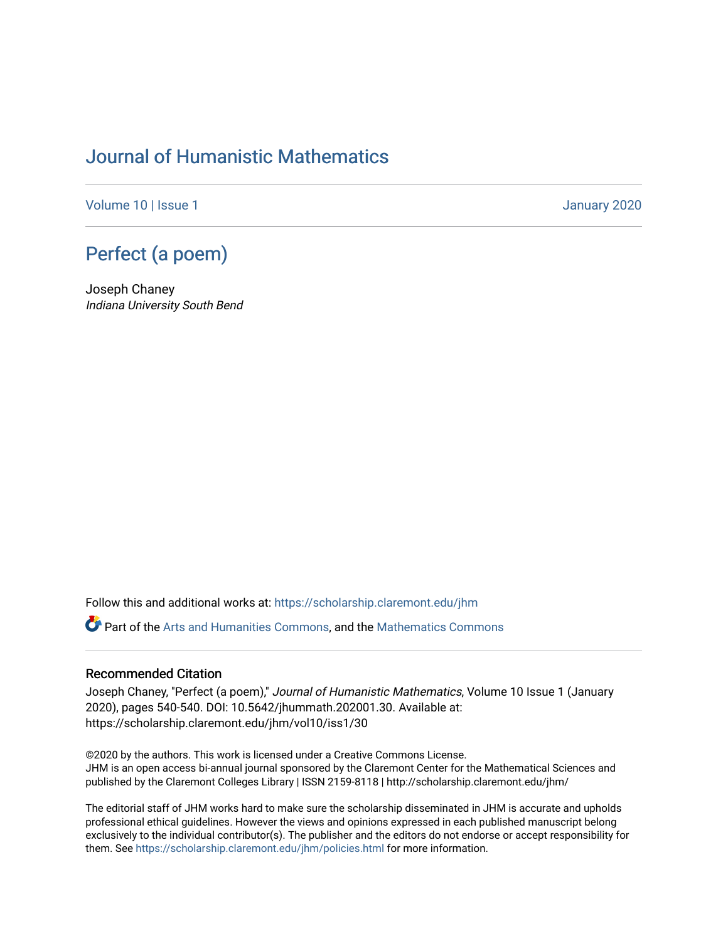## [Journal of Humanistic Mathematics](https://scholarship.claremont.edu/jhm)

[Volume 10](https://scholarship.claremont.edu/jhm/vol10) | Issue 1 January 2020

## [Perfect \(a poem\)](https://scholarship.claremont.edu/jhm/vol10/iss1/30)

Joseph Chaney Indiana University South Bend

Follow this and additional works at: [https://scholarship.claremont.edu/jhm](https://scholarship.claremont.edu/jhm?utm_source=scholarship.claremont.edu%2Fjhm%2Fvol10%2Fiss1%2F30&utm_medium=PDF&utm_campaign=PDFCoverPages)

Part of the [Arts and Humanities Commons,](http://network.bepress.com/hgg/discipline/438?utm_source=scholarship.claremont.edu%2Fjhm%2Fvol10%2Fiss1%2F30&utm_medium=PDF&utm_campaign=PDFCoverPages) and the [Mathematics Commons](http://network.bepress.com/hgg/discipline/174?utm_source=scholarship.claremont.edu%2Fjhm%2Fvol10%2Fiss1%2F30&utm_medium=PDF&utm_campaign=PDFCoverPages) 

## Recommended Citation

Joseph Chaney, "Perfect (a poem)," Journal of Humanistic Mathematics, Volume 10 Issue 1 (January 2020), pages 540-540. DOI: 10.5642/jhummath.202001.30. Available at: https://scholarship.claremont.edu/jhm/vol10/iss1/30

©2020 by the authors. This work is licensed under a Creative Commons License. JHM is an open access bi-annual journal sponsored by the Claremont Center for the Mathematical Sciences and published by the Claremont Colleges Library | ISSN 2159-8118 | http://scholarship.claremont.edu/jhm/

The editorial staff of JHM works hard to make sure the scholarship disseminated in JHM is accurate and upholds professional ethical guidelines. However the views and opinions expressed in each published manuscript belong exclusively to the individual contributor(s). The publisher and the editors do not endorse or accept responsibility for them. See<https://scholarship.claremont.edu/jhm/policies.html> for more information.